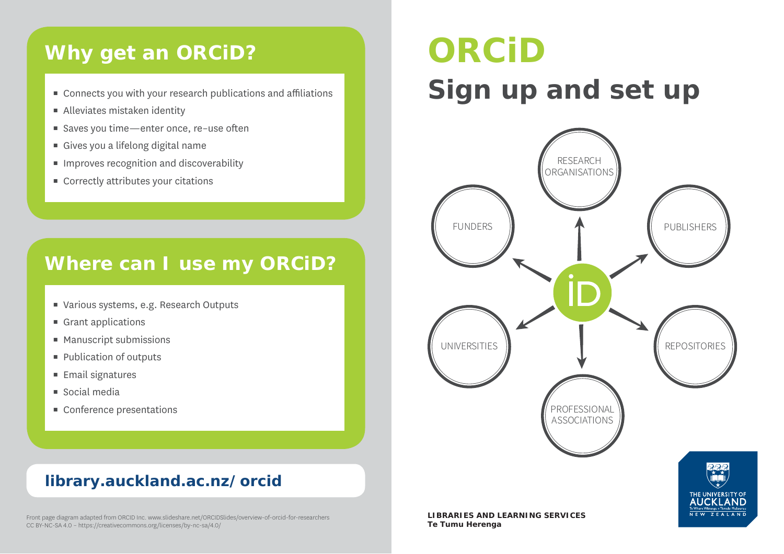## **Why get an ORCiD?**

- $\hspace{0.1mm}$  Connects you with your research publications and affiliations
- $\blacksquare$  Alleviates mistaken identity
- $\hspace{0.1mm}$  Saves you time—enter once, re–use often
- $\hspace{0.1mm}$  Gives you a lifelong digital name
- $\quad \blacksquare$  Improves recognition and discoverability
- $\quad \rule{2mm}{2mm}$  Correctly attributes your citations

## **Where can I use my ORCiD?**

- $\blacksquare$  Various systems, e.g. Research Outputs
- $\blacksquare$  Grant applications
- $\blacksquare$  Manuscript submissions
- $\hspace{0.1mm}$  Publication of outputs
- $\blacksquare$  Email signatures
- $\blacksquare$  Social media
- Conference presentations

## **library.auckland.ac.nz/orcid**

## **ORCiDSign up and set up**



Front page diagram adapted from ORCID Inc. www.slideshare.net/ORCIDSlides/overview-of-orcid-for-researchers CC BY-NC-SA 4.0 – https://creativecommons.org/licenses/by-nc-sa/4.0/

**Te Tumu Herenga**